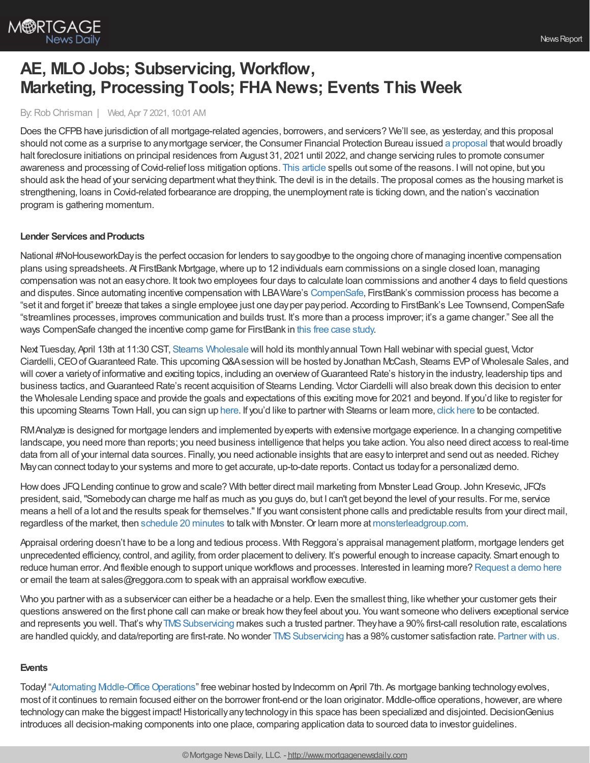

# **AE, MLO Jobs; Subservicing, Workflow, Marketing, Processing Tools; FHA News; Events This Week**

## By:Rob Chrisman | Wed, Apr 7 2021, 10:01 AM

Does the CFPB have jurisdiction of all mortgage-related agencies, borrowers, and servicers? We'll see, as yesterday, and this proposal should not come as a surprise to anymortgage servicer, the Consumer Financial Protection Bureau issued a [proposal](https://www.consumerfinance.gov/about-us/newsroom/cfpb-proposes-mortgage-servicing-changes-to-prevent-wave-of-covid-19-foreclosures/) thatwould broadly halt foreclosure initiations on principal residences from August 31, 2021 until 2022, and change servicing rules to promote consumer awareness and processing of Covid-relief loss mitigation options. This [article](https://www.bloomberg.com/news/articles/2021-04-05/mortgage-firms-face-foreclosure-ban-until-2022-under-cfpb-plan) spells out some of the reasons. I will not opine, but you should ask the head of your servicing departmentwhat theythink. The devil is in the details. The proposal comes as the housing market is strengthening, loans in Covid-related forbearance are dropping, the unemployment rate is ticking down, and the nation's vaccination program is gathering momentum.

## **Lender Services and Products**

National #NoHouseworkDayis the perfect occasion for lenders to saygoodbye to the ongoing chore of managing incentive compensation plans using spreadsheets. At FirstBank Mortgage,where up to 12 individuals earn commissions on a single closed loan, managing compensation was not an easychore. It took two employees four days to calculate loan commissions and another 4 days to field questions and disputes. Since automating incentive compensation with LBAWare's [CompenSafe](https://bit.ly/3fTi9Oq), FirstBank's commission process has become a "set it and forget it" breeze that takes a single employee just one day per pay period. According to FirstBank's Lee Townsend, CompenSafe "streamlines processes, improves communication and builds trust. It's more than a process improver; it's a game changer." See all the ways CompenSafe changed the incentive comp game for FirstBank in this free case [study.](https://bit.ly/3cPVr85)

Next Tuesday, April 13th at 11:30 CST, Stearns [Wholesale](https://www.stearnswholesale.com/) will hold its monthlyannual Town Hall webinar with special guest, Victor Ciardelli, CEO of Guaranteed Rate. This upcoming Q&Asession will be hosted by Jonathan McCash, Stearns EVP of Wholesale Sales, and will cover a varietyof informative and exciting topics, including an overviewofGuaranteed Rate's historyin the industry, leadership tips and business tactics, and Guaranteed Rate's recent acquisition of Stearns Lending. Victor Ciardelli will also break down this decision to enter the Wholesale Lending space and provide the goals and expectations of this exciting move for 2021 and beyond. If you'd like to register for this upcoming Stearns Town Hall, you can sign up [here.](https://register.gotowebinar.com/register/7134936975009284620) If you'd like to partner with Stearns or learn more, click [here](https://sites.totalexpert.net/event-registration/new-broker---chrisman-387548) to be contacted.

RMAnalyze is designed for mortgage lenders and implemented by experts with extensive mortgage experience. In a changing competitive landscape, you need more than reports; you need business intelligence that helps you take action. You also need direct access to real-time data from all of your internal data sources. Finally, you need actionable insights that are easy to interpret and send out as needed. Richey Maycan connect todayto your systems and more to get accurate, up-to-date reports.Contact us todayfor a personalized demo.

Howdoes JFQLending continue to growand scale? With better direct mail marketing from Monster LeadGroup. John Kresevic, JFQ's president, said,"Somebodycan charge me half as much as you guys do, but I can't get beyond the level of your results. For me, service means a hell of a lot and the results speak for themselves."If you want consistent phone calls and predictable results from your direct mail, regardless of the market, then [schedule](https://www.monsterleadgroup.com/demo?utm_medium=email&utm_source=Chrisman&utm_campaign=Chrisman+Newsletter&utm_content=Chrisman+Ad+2021-04-07) 20 minutes to talkwith Monster.Or learn more at [monsterleadgroup.com.](https://www.monsterleadgroup.com/mortgage-direct-mail/sales-and-marketing?utm_medium=email&utm_source=Chrisman&utm_campaign=Chrisman+Newsletter&utm_content=Chrisman+Ad+2021-04-07)

Appraisal ordering doesn't have to be a long and tedious process. With Reggora's appraisal management platform, mortgage lenders get unprecedented efficiency, control, and agility, from order placement to delivery. It's powerful enough to increase capacity. Smart enough to reduce human error. And flexible enough to support unique workflows and processes. Interested in learning more? [Request](https://go.reggora.com/chrisman-demo) a demo here or email the team at sales@reggora.com to speakwith an appraisal workflowexecutive.

Who you partner with as a subservicer can either be a headache or a help. Even the smallest thing, like whether your customer gets their questions answered on the first phone call can make or break howtheyfeel about you. You want someone who delivers exceptional service and represents you well. That's why TMS Subservicing makes such a trusted partner. They have a 90% first-call resolution rate, escalations are handled quickly, and data/reporting are first-rate. No wonder TMS Subservicing has a 98% customer satisfaction rate. [Partner](https://subservicing.themoneysource.com/) with us.

# **Events**

Today! "Automating Middle-Office Operations" free webinar hosted by Indecomm on April 7th. As mortgage banking technology evolves, most of it continues to remain focused either on the borrower front-end or the loan originator. Middle-office operations, however, are where technology can make the biggest impact! Historically any technology in this space has been specialized and disjointed. DecisionGenius introduces all decision-making components into one place, comparing application data to sourced data to investor guidelines.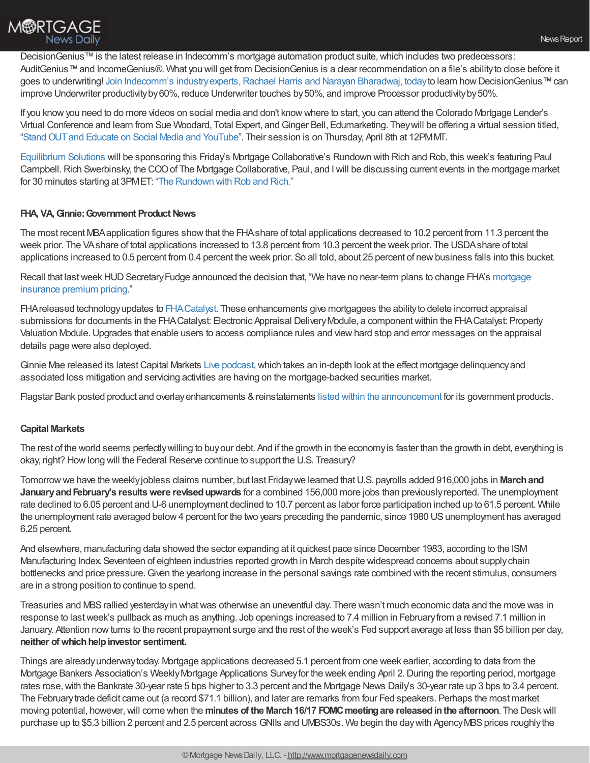

DecisionGenius™ is the latest release in Indecomm's mortgage automation product suite, which includes two predecessors: AuditGenius™ and IncomeGenius®. What you will get from DecisionGenius is a clear recommendation on a file's ability to close before it goes to underwriting! Join Indecomm's industry experts, Rachael Harris and Narayan Bharadwaj, today to learn how DecisionGenius™ can improve Underwriter productivity by 60%, reduce Underwriter touches by 50%, and improve Processor productivity by 50%.

If you knowyou need to do more videos on social media and don't knowwhere to start, you can attend the Colorado Mortgage Lender's Virtual Conference and learn from Sue Woodard, Total Expert, andGinger Bell, Edumarketing. Theywill be offering a virtual session titled, ["StandOUTand](https://web.cvent.com/event/d7102a57-bd49-41c7-bd17-08b3451e45fd/websitePage:645d57e4-75eb-4769-b2c0-f201a0bfc6ce?utm_content=160830365&utm_medium=social&utm_source=linkedin&hss_channel=lcp-4795824&fbclid=IwAR34_BpqiH6zAA43OZ6JDsEBOWGKhS5sUVgXGGK2x9ebUBLvSAN_yk4dsfc) Educate on Social Media and YouTube". Their session is on Thursday, April 8th at 12PMMT.

[Equilibrium](https://equilibriumsolutions.net/) Solutions will be sponsoring this Friday's Mortgage Collaborative's Rundown with Rich and Rob, this week's featuring Paul Campbell. Rich Swerbinsky, the COO of The Mortgage Collaborative, Paul, and I will be discussing current events in the mortgage market for 30 minutes starting at 3PMET: "The [Rundown](https://mtgcoop.zoom.us/webinar/register/WN_hOUDEqURT9m3mhKCJWRM-A) with Rob and Rich."

# **FHA, VA,Ginnie:Government Product News**

The most recent MBAapplication figures showthat the FHAshare of total applications decreased to 10.2 percent from 11.3 percent the week prior. The VAshare of total applications increased to 13.8 percent from 10.3 percent the week prior. The USDAshare of total applications increased to 0.5 percent from 0.4 percent the week prior. So all told, about 25 percent of newbusiness falls into this bucket.

Recall that last week HUD Secretary Fudge announced the decision that, "We have no near-term plans to change FHA's mortgage insurance premium pricing."

FHAreleased technologyupdates to [FHACatalyst](https://www.hud.gov/catalyst?). These enhancements give mortgagees the abilityto delete incorrect appraisal submissions for documents in the FHA Catalyst: Electronic Appraisal Delivery Module, a component within the FHA Catalyst: Property Valuation Module.Upgrades that enable users to access compliance rules and viewhard stop and error messages on the appraisal details page were also deployed.

Ginnie Mae released its latest Capital Markets Live [podcast](https://www.youtube.com/watch?v=qWeX1FNaCJM&t=14s), which takes an in-depth look at the effect mortgage delinquency and associated loss mitigation and servicing activities are having on the mortgage-backed securities market.

Flagstar Bank posted product and overlay enhancements & reinstatements listed within the [announcement](https://www.flagstar.com/content/dam/tpo/sellers-guide/announcements/21044.pdf) for its government products.

# **Capital Markets**

The rest of the world seems perfectlywilling to buyour debt. And if the growth in the economyis faster than the growth in debt, everything is okay, right? How long will the Federal Reserve continue to support the U.S. Treasury?

Tomorrowwe have the weeklyjobless claims number, but last Fridaywe learned thatU.S. payrolls added 916,000 jobs in **Marchand JanuaryandFebruary's resultswere revisedupwards** for a combined 156,000 more jobs than previouslyreported. The unemployment rate declined to 6.05 percent and U-6 unemployment declined to 10.7 percent as labor force participation inched up to 61.5 percent. While the unemployment rate averaged below4 percent for the two years preceding the pandemic, since 1980 USunemployment has averaged 6.25 percent.

And elsewhere, manufacturing data showed the sector expanding at it quickest pace since December 1983, according to the ISM Manufacturing Index. Seventeen of eighteen industries reported growth in March despite widespread concerns about supplychain bottlenecks and price pressure. Given the yearlong increase in the personal savings rate combined with the recent stimulus, consumers are in a strong position to continue to spend.

Treasuries and MBSrallied yesterdayin whatwas otherwise an uneventful day. There wasn't much economic data and the move was in response to lastweek's pullback as much as anything. Job openings increased to 7.4 million in Februaryfrom a revised 7.1 million in January. Attention nowturns to the recent prepayment surge and the rest of the week's Fed support average at less than \$5 billion per day, **neither ofwhichhelpinvestor sentiment.**

Things are alreadyunderwaytoday. Mortgage applications decreased 5.1 percent from one week earlier, according to data from the Mortgage Bankers Association's WeeklyMortgage Applications Surveyfor the week ending April 2.During the reporting period, mortgage rates rose,with the Bankrate 30-year rate 5 bps higher to 3.3 percent and the Mortgage News Daily's 30-year rate up 3 bps to 3.4 percent. The Februarytrade deficit came out (a record \$71.1 billion), and later are remarks from four Fed speakers. Perhaps the most market moving potential, however,will come when the **minutes of the March16/17 FOMCmeetingare releasedinthe afternoon**. The Deskwill purchase up to \$5.3 billion 2 percent and 2.5 percent across GNIIs and UMBS30s. We begin the day with Agency MBS prices roughly the